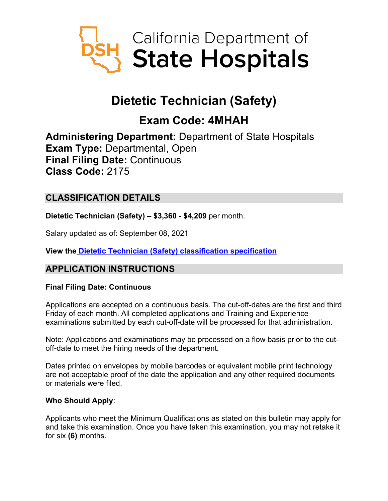

# **Dietetic Technician (Safety)**

# **Exam Code: 4MHAH**

**Administering Department:** Department of State Hospitals **Exam Type:** Departmental, Open **Final Filing Date:** Continuous **Class Code:** 2175

# **CLASSIFICATION DETAILS**

**Dietetic Technician (Safety) – \$3,360 - \$4,209** per month.

Salary updated as of: September 08, 2021

**View the [Dietetic Technician \(Safety\) classification specification](https://www.calhr.ca.gov/state-hr-professionals/pages/2175.aspx)**

# **APPLICATION INSTRUCTIONS**

## **Final Filing Date: Continuous**

Applications are accepted on a continuous basis. The cut-off-dates are the first and third Friday of each month. All completed applications and Training and Experience examinations submitted by each cut-off-date will be processed for that administration.

Note: Applications and examinations may be processed on a flow basis prior to the cutoff-date to meet the hiring needs of the department.

Dates printed on envelopes by mobile barcodes or equivalent mobile print technology are not acceptable proof of the date the application and any other required documents or materials were filed.

## **Who Should Apply**:

Applicants who meet the Minimum Qualifications as stated on this bulletin may apply for and take this examination. Once you have taken this examination, you may not retake it for six **(6)** months.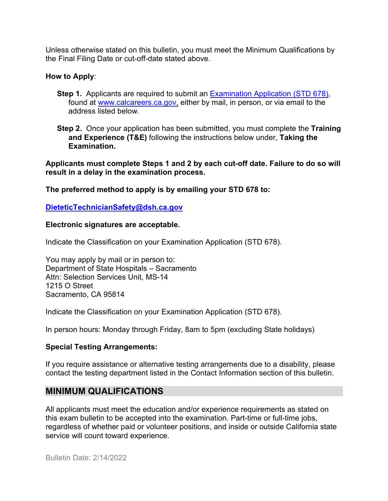Unless otherwise stated on this bulletin, you must meet the Minimum Qualifications by the Final Filing Date or cut-off-date stated above.

#### **How to Apply**:

**Step 1.** Applicants are required to submit an **Examination Application (STD 678)**, found at [www.calcareers.ca.gov,](http://www.calcareers.ca.gov/) either by mail, in person, or via email to the address listed below.

**Step 2.** Once your application has been submitted, you must complete the **Training and Experience (T&E)** following the instructions below under, **Taking the Examination.**

**Applicants must complete Steps 1 and 2 by each cut-off date. Failure to do so will result in a delay in the examination process.**

**The preferred method to apply is by emailing your STD 678 to:**

**[DieteticTechnicianSafety@dsh.ca.gov](mailto:DieteticTechnicianSafety@dsh.ca.gov)**

#### **Electronic signatures are acceptable.**

Indicate the Classification on your Examination Application (STD 678).

You may apply by mail or in person to: Department of State Hospitals – Sacramento Attn: Selection Services Unit, MS-14 1215 O Street Sacramento, CA 95814

Indicate the Classification on your Examination Application (STD 678).

In person hours: Monday through Friday, 8am to 5pm (excluding State holidays)

#### **Special Testing Arrangements:**

If you require assistance or alternative testing arrangements due to a disability, please contact the testing department listed in the Contact Information section of this bulletin.

## **MINIMUM QUALIFICATIONS**

All applicants must meet the education and/or experience requirements as stated on this exam bulletin to be accepted into the examination. Part-time or full-time jobs, regardless of whether paid or volunteer positions, and inside or outside California state service will count toward experience.

Bulletin Date: 2/14/2022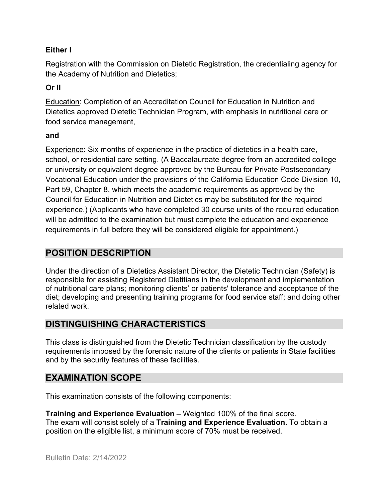## **Either I**

Registration with the Commission on Dietetic Registration, the credentialing agency for the Academy of Nutrition and Dietetics;

## **Or II**

Education: Completion of an Accreditation Council for Education in Nutrition and Dietetics approved Dietetic Technician Program, with emphasis in nutritional care or food service management,

### **and**

Experience: Six months of experience in the practice of dietetics in a health care, school, or residential care setting. (A Baccalaureate degree from an accredited college or university or equivalent degree approved by the Bureau for Private Postsecondary Vocational Education under the provisions of the California Education Code Division 10, Part 59, Chapter 8, which meets the academic requirements as approved by the Council for Education in Nutrition and Dietetics may be substituted for the required experience.) (Applicants who have completed 30 course units of the required education will be admitted to the examination but must complete the education and experience requirements in full before they will be considered eligible for appointment.)

# **POSITION DESCRIPTION**

Under the direction of a Dietetics Assistant Director, the Dietetic Technician (Safety) is responsible for assisting Registered Dietitians in the development and implementation of nutritional care plans; monitoring clients' or patients' tolerance and acceptance of the diet; developing and presenting training programs for food service staff; and doing other related work.

# **DISTINGUISHING CHARACTERISTICS**

This class is distinguished from the Dietetic Technician classification by the custody requirements imposed by the forensic nature of the clients or patients in State facilities and by the security features of these facilities.

# **EXAMINATION SCOPE**

This examination consists of the following components:

**Training and Experience Evaluation –** Weighted 100% of the final score. The exam will consist solely of a **Training and Experience Evaluation.** To obtain a position on the eligible list, a minimum score of 70% must be received.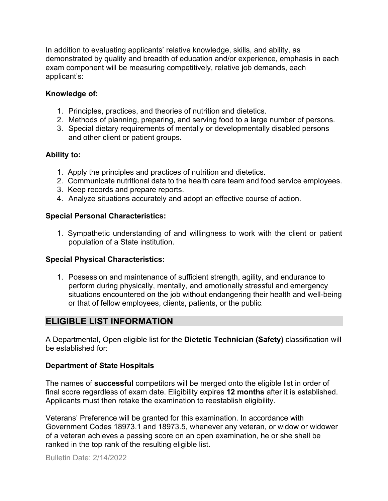In addition to evaluating applicants' relative knowledge, skills, and ability, as demonstrated by quality and breadth of education and/or experience, emphasis in each exam component will be measuring competitively, relative job demands, each applicant's:

### **Knowledge of:**

- 1. Principles, practices, and theories of nutrition and dietetics.
- 2. Methods of planning, preparing, and serving food to a large number of persons.
- 3. Special dietary requirements of mentally or developmentally disabled persons and other client or patient groups.

### **Ability to:**

- 1. Apply the principles and practices of nutrition and dietetics.
- 2. Communicate nutritional data to the health care team and food service employees.
- 3. Keep records and prepare reports.
- 4. Analyze situations accurately and adopt an effective course of action.

### **Special Personal Characteristics:**

1. Sympathetic understanding of and willingness to work with the client or patient population of a State institution.

#### **Special Physical Characteristics:**

1. Possession and maintenance of sufficient strength, agility, and endurance to perform during physically, mentally, and emotionally stressful and emergency situations encountered on the job without endangering their health and well-being or that of fellow employees, clients, patients, or the public.

# **ELIGIBLE LIST INFORMATION**

A Departmental, Open eligible list for the **Dietetic Technician (Safety)** classification will be established for:

#### **Department of State Hospitals**

The names of **successful** competitors will be merged onto the eligible list in order of final score regardless of exam date. Eligibility expires **12 months** after it is established. Applicants must then retake the examination to reestablish eligibility.

Veterans' Preference will be granted for this examination. In accordance with Government Codes 18973.1 and 18973.5, whenever any veteran, or widow or widower of a veteran achieves a passing score on an open examination, he or she shall be ranked in the top rank of the resulting eligible list.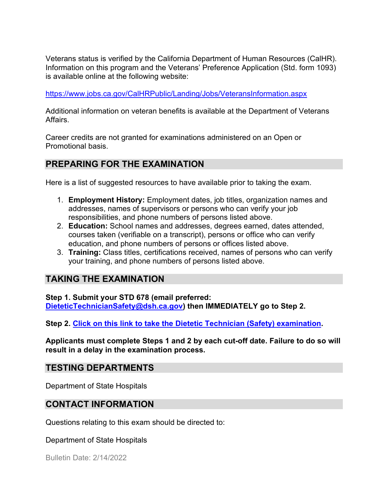Veterans status is verified by the California Department of Human Resources (CalHR). Information on this program and the Veterans' Preference Application (Std. form 1093) is available online at the following website:

<https://www.jobs.ca.gov/CalHRPublic/Landing/Jobs/VeteransInformation.aspx>

Additional information on veteran benefits is available at the Department of Veterans Affairs.

Career credits are not granted for examinations administered on an Open or Promotional basis.

# **PREPARING FOR THE EXAMINATION**

Here is a list of suggested resources to have available prior to taking the exam.

- 1. **Employment History:** Employment dates, job titles, organization names and addresses, names of supervisors or persons who can verify your job responsibilities, and phone numbers of persons listed above.
- 2. **Education:** School names and addresses, degrees earned, dates attended, courses taken (verifiable on a transcript), persons or office who can verify education, and phone numbers of persons or offices listed above.
- 3. **Training:** Class titles, certifications received, names of persons who can verify your training, and phone numbers of persons listed above.

# **TAKING THE EXAMINATION**

**Step 1. Submit your STD 678 (email preferred: [DieteticTechnicianSafety@dsh.ca.gov\)](mailto:DieteticTechnicianSafety@dsh.ca.gov) then IMMEDIATELY go to Step 2.**

**Step 2. [Click on this link to take the Dietetic Technician \(Safety\) examination.](https://www.surveymonkey.com/r/RZZ68BC)**

**Applicants must complete Steps 1 and 2 by each cut-off date. Failure to do so will result in a delay in the examination process.**

## **TESTING DEPARTMENTS**

Department of State Hospitals

# **CONTACT INFORMATION**

Questions relating to this exam should be directed to:

Department of State Hospitals

Bulletin Date: 2/14/2022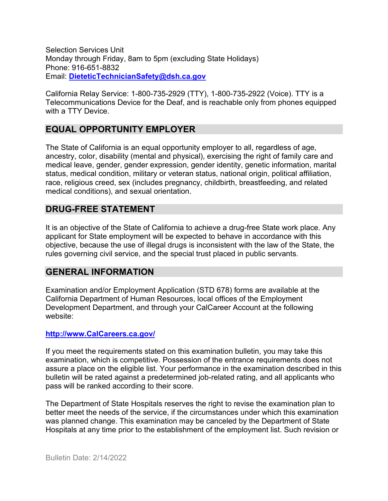Selection Services Unit Monday through Friday, 8am to 5pm (excluding State Holidays) Phone: 916-651-8832 Email: **[DieteticTechnicianSafety@dsh.ca.gov](mailto:DieteticTechnicianSafety@dsh.ca.gov)**

California Relay Service: 1-800-735-2929 (TTY), 1-800-735-2922 (Voice). TTY is a Telecommunications Device for the Deaf, and is reachable only from phones equipped with a TTY Device.

## **EQUAL OPPORTUNITY EMPLOYER**

The State of California is an equal opportunity employer to all, regardless of age, ancestry, color, disability (mental and physical), exercising the right of family care and medical leave, gender, gender expression, gender identity, genetic information, marital status, medical condition, military or veteran status, national origin, political affiliation, race, religious creed, sex (includes pregnancy, childbirth, breastfeeding, and related medical conditions), and sexual orientation.

## **DRUG-FREE STATEMENT**

It is an objective of the State of California to achieve a drug-free State work place. Any applicant for State employment will be expected to behave in accordance with this objective, because the use of illegal drugs is inconsistent with the law of the State, the rules governing civil service, and the special trust placed in public servants.

## **GENERAL INFORMATION**

Examination and/or Employment Application (STD 678) forms are available at the California Department of Human Resources, local offices of the Employment Development Department, and through your CalCareer Account at the following website:

#### **http://www.CalCareers.ca.gov/**

If you meet the requirements stated on this examination bulletin, you may take this examination, which is competitive. Possession of the entrance requirements does not assure a place on the eligible list. Your performance in the examination described in this bulletin will be rated against a predetermined job-related rating, and all applicants who pass will be ranked according to their score.

The Department of State Hospitals reserves the right to revise the examination plan to better meet the needs of the service, if the circumstances under which this examination was planned change. This examination may be canceled by the Department of State Hospitals at any time prior to the establishment of the employment list. Such revision or